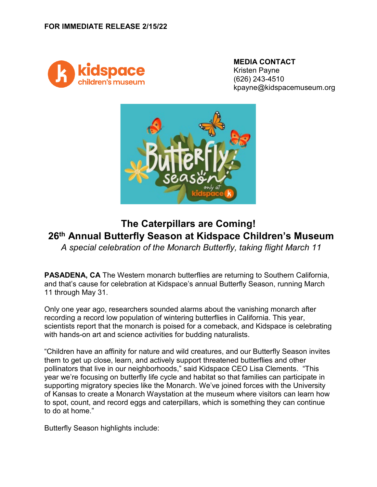

**MEDIA CONTACT** Kristen Payne (626) 243-4510 kpayne@kidspacemuseum.org



## **The Caterpillars are Coming! 26th Annual Butterfly Season at Kidspace Children's Museum**

*A special celebration of the Monarch Butterfly, taking flight March 11*

**PASADENA, CA** The Western monarch butterflies are returning to Southern California, and that's cause for celebration at Kidspace's annual Butterfly Season, running March 11 through May 31.

Only one year ago, researchers sounded alarms about the vanishing monarch after recording a record low population of wintering butterflies in California. This year, scientists report that the monarch is poised for a comeback, and Kidspace is celebrating with hands-on art and science activities for budding naturalists.

"Children have an affinity for nature and wild creatures, and our Butterfly Season invites them to get up close, learn, and actively support threatened butterflies and other pollinators that live in our neighborhoods," said Kidspace CEO Lisa Clements. "This year we're focusing on butterfly life cycle and habitat so that families can participate in supporting migratory species like the Monarch. We've joined forces with the University of Kansas to create a Monarch Waystation at the museum where visitors can learn how to spot, count, and record eggs and caterpillars, which is something they can continue to do at home."

Butterfly Season highlights include: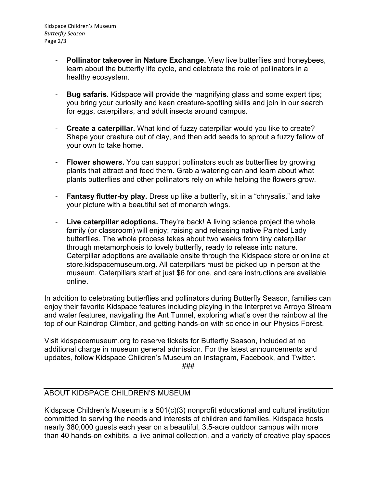Kidspace Children's Museum *Butterfly Season* Page 2/3

- **Pollinator takeover in Nature Exchange.** View live butterflies and honeybees, learn about the butterfly life cycle, and celebrate the role of pollinators in a healthy ecosystem.
- **Bug safaris.** Kidspace will provide the magnifying glass and some expert tips; you bring your curiosity and keen creature-spotting skills and join in our search for eggs, caterpillars, and adult insects around campus.
- **Create a caterpillar.** What kind of fuzzy caterpillar would you like to create? Shape your creature out of clay, and then add seeds to sprout a fuzzy fellow of your own to take home.
- **Flower showers.** You can support pollinators such as butterflies by growing plants that attract and feed them. Grab a watering can and learn about what plants butterflies and other pollinators rely on while helping the flowers grow.
- **Fantasy flutter-by play.** Dress up like a butterfly, sit in a "chrysalis," and take your picture with a beautiful set of monarch wings.
- **Live caterpillar adoptions.** They're back! A living science project the whole family (or classroom) will enjoy; raising and releasing native Painted Lady butterflies. The whole process takes about two weeks from tiny caterpillar through metamorphosis to lovely butterfly, ready to release into nature. Caterpillar adoptions are available onsite through the Kidspace store or online at store.kidspacemuseum.org. All caterpillars must be picked up in person at the museum. Caterpillars start at just \$6 for one, and care instructions are available online.

In addition to celebrating butterflies and pollinators during Butterfly Season, families can enjoy their favorite Kidspace features including playing in the Interpretive Arroyo Stream and water features, navigating the Ant Tunnel, exploring what's over the rainbow at the top of our Raindrop Climber, and getting hands-on with science in our Physics Forest.

Visit kidspacemuseum.org to reserve tickets for Butterfly Season, included at no additional charge in museum general admission. For the latest announcements and updates, follow Kidspace Children's Museum on Instagram, Facebook, and Twitter. ###

## ABOUT KIDSPACE CHILDREN'S MUSEUM

Kidspace Children's Museum is a 501(c)(3) nonprofit educational and cultural institution committed to serving the needs and interests of children and families. Kidspace hosts nearly 380,000 guests each year on a beautiful, 3.5-acre outdoor campus with more than 40 hands-on exhibits, a live animal collection, and a variety of creative play spaces